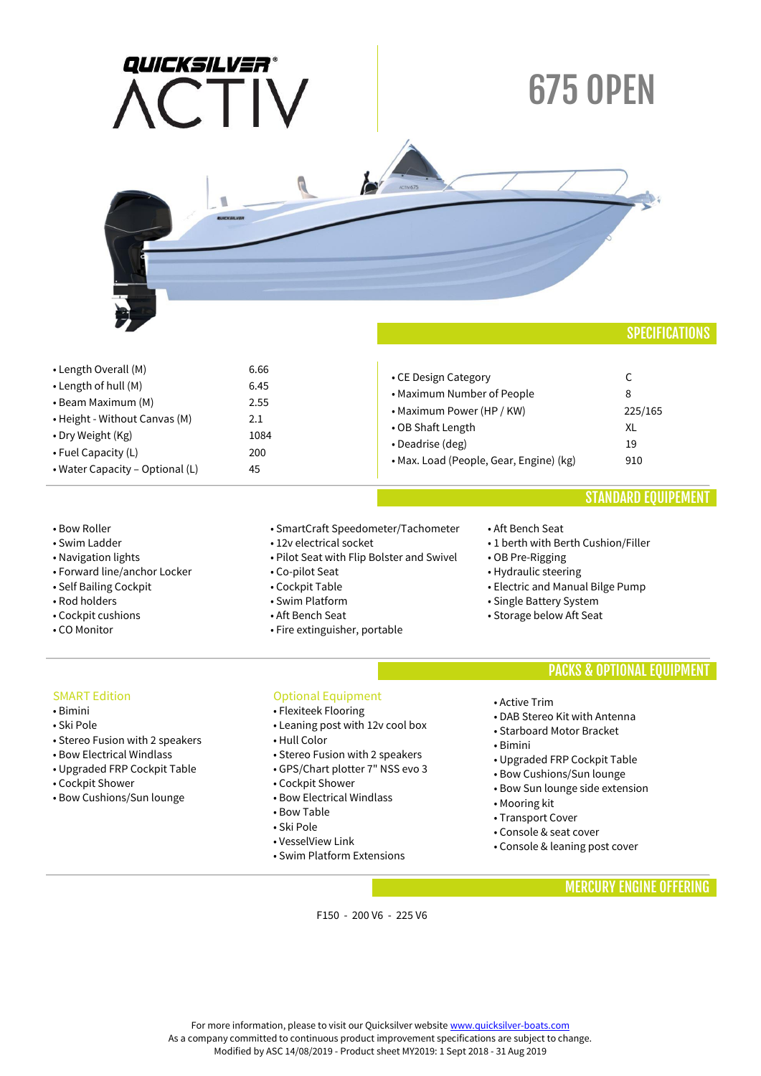| QUICKSILVER®<br>$\sqrt{2}$ | <b>675 OPEN</b> |
|----------------------------|-----------------|
| <b>RUICKSILVER</b>         | ACTIV675        |
|                            |                 |

• Length Overall (M) • Length of hull (M) • Beam Maximum (M) • Height - Without Canvas (M) • Dry Weight (Kg) • Fuel Capacity (L) • Water Capacity – Optional (L) 6.66 6.45 2.55 2.1 1084 200 45 • CE Design Category • Maximum Number of People • Maximum Power (HP / KW) • OB Shaft Length • Deadrise (deg) • Max. Load (People, Gear, Engine) (kg)  $\mathsf{C}$ 8 225/165 XL 19 910

### • Bow Roller

- Swim Ladder
- Navigation lights
- Forward line/anchor Locker
- Self Bailing Cockpit
- Rod holders
- Cockpit cushions
- CO Monitor
- SmartCraft Speedometer/Tachometer
- 12v electrical socket
- Pilot Seat with Flip Bolster and Swivel
- Co-pilot Seat
- Cockpit Table
- Swim Platform
- Aft Bench Seat
- Fire extinguisher, portable

#### • Aft Bench Seat

- 1 berth with Berth Cushion/Filler
- OB Pre-Rigging
- Hydraulic steering
- Electric and Manual Bilge Pump
- Single Battery System
- Storage below Aft Seat

### PACKS & OPTIONAL EQUIPMENT

STANDARD EQUIPEMENT

### SMART Edition

- Bimini
- Ski Pole
- Stereo Fusion with 2 speakers
- Bow Electrical Windlass
- Upgraded FRP Cockpit Table
- Cockpit Shower
- Bow Cushions/Sun lounge

### Optional Equipment

- Flexiteek Flooring
- Leaning post with 12v cool box
- Hull Color
- Stereo Fusion with 2 speakers
- GPS/Chart plotter 7" NSS evo 3
- Cockpit Shower
- Bow Electrical Windlass
- Bow Table
- Ski Pole
- VesselView Link
- Swim Platform Extensions
- Active Trim
- DAB Stereo Kit with Antenna • Starboard Motor Bracket
- Bimini
- Upgraded FRP Cockpit Table
- Bow Cushions/Sun lounge
- Bow Sun lounge side extension
- Mooring kit
- Transport Cover
- Console & seat cover
- Console & leaning post cover

### MERCURY ENGINE OFFERING

F150 - 200 V6 - 225 V6

For more information, please to visit our Quicksilver websit[e www.quicksilver-boats.com](http://www.quicksilver-boats.com/) As a company committed to continuous product improvement specifications are subject to change.

Modified by ASC 14/08/2019 - Product sheet MY2019: 1 Sept 2018 - 31 Aug 2019